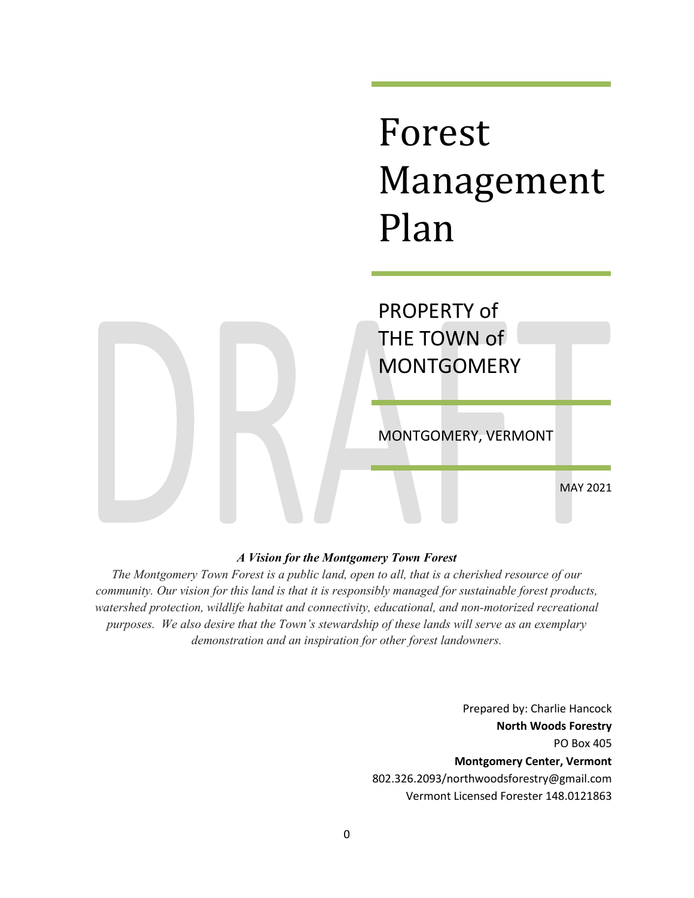# Forest Management Plan

PROPERTY of THE TOWN of **MONTGOMERY** 

MONTGOMERY, VERMONT

MAY 2021

# *A Vision for the Montgomery Town Forest*

*The Montgomery Town Forest is a public land, open to all, that is a cherished resource of our community. Our vision for this land is that it is responsibly managed for sustainable forest products, watershed protection, wildlife habitat and connectivity, educational, and non-motorized recreational purposes. We also desire that the Town's stewardship of these lands will serve as an exemplary demonstration and an inspiration for other forest landowners.*

> Prepared by: Charlie Hancock **North Woods Forestry** PO Box 405 **Montgomery Center, Vermont** [802.326.2093/northwoodsforestry@gmail.com](mailto:802.326.2093/northwoodsforestry@gmail.com) Vermont Licensed Forester 148.0121863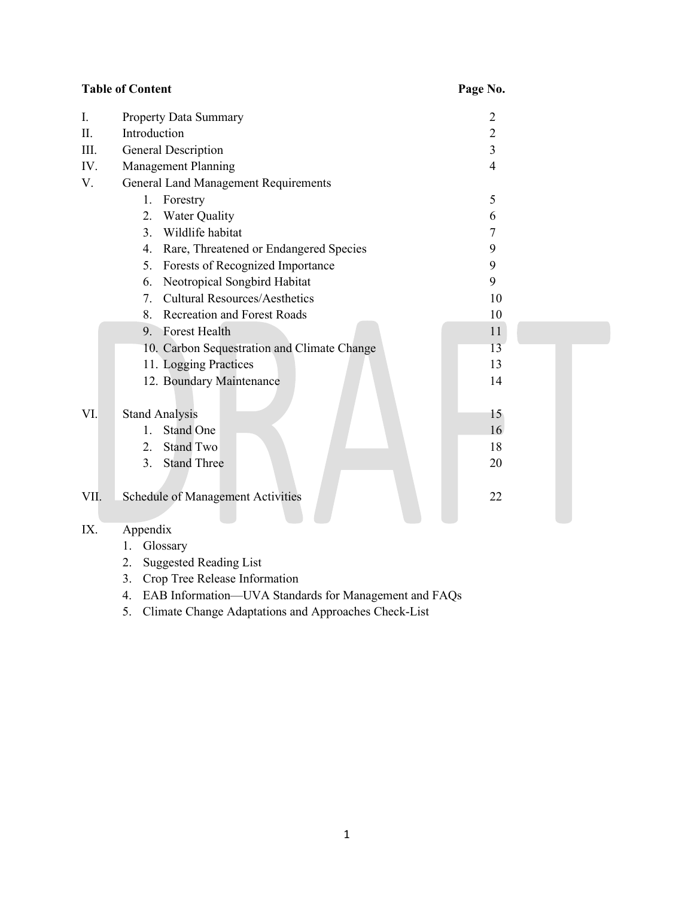|      | <b>Table of Content</b>                                | Page No.       |  |
|------|--------------------------------------------------------|----------------|--|
| I.   | Property Data Summary                                  | 2              |  |
| Π.   | Introduction                                           | $\overline{2}$ |  |
| III. | <b>General Description</b>                             | 3              |  |
| IV.  | Management Planning                                    | 4              |  |
| V.   | <b>General Land Management Requirements</b>            |                |  |
|      | 1.<br>Forestry                                         | 5              |  |
|      | Water Quality<br>2.                                    | 6              |  |
|      | $\overline{3}$ .<br>Wildlife habitat                   | 7              |  |
|      | Rare, Threatened or Endangered Species<br>4.           | 9              |  |
|      | Forests of Recognized Importance<br>5.                 | 9              |  |
|      | Neotropical Songbird Habitat<br>6.                     | 9              |  |
|      | <b>Cultural Resources/Aesthetics</b><br>7 <sup>7</sup> | 10             |  |
|      | Recreation and Forest Roads<br>8.                      | 10             |  |
|      | 9. Forest Health                                       | 11             |  |
|      | 10. Carbon Sequestration and Climate Change            | 13             |  |
|      | 11. Logging Practices                                  | 13             |  |
|      | 12. Boundary Maintenance                               | 14             |  |
| VI.  | <b>Stand Analysis</b>                                  | 15             |  |
|      | Stand One<br>1.                                        | 16             |  |
|      | <b>Stand Two</b><br>2.                                 | 18             |  |
|      | <b>Stand Three</b><br>3.                               | 20             |  |
| VII. | Schedule of Management Activities                      | 22             |  |

# IX. Appendix

- 1. Glossary
- 2. Suggested Reading List
- 3. Crop Tree Release Information
- 4. EAB Information—UVA Standards for Management and FAQs
- 5. Climate Change Adaptations and Approaches Check-List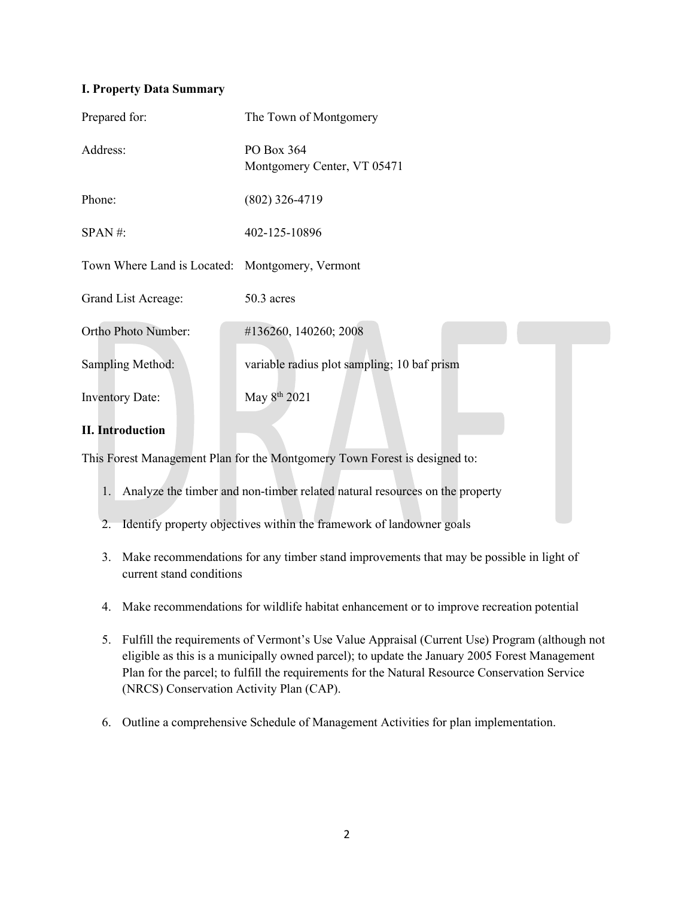# **I. Property Data Summary**

| Prepared for:                                   | The Town of Montgomery                                                     |
|-------------------------------------------------|----------------------------------------------------------------------------|
| Address:                                        | PO Box 364<br>Montgomery Center, VT 05471                                  |
| Phone:                                          | $(802)$ 326-4719                                                           |
| $SPAN$ #:                                       | 402-125-10896                                                              |
| Town Where Land is Located: Montgomery, Vermont |                                                                            |
| Grand List Acreage:                             | 50.3 acres                                                                 |
| Ortho Photo Number:                             | #136260, 140260; 2008                                                      |
| Sampling Method:                                | variable radius plot sampling; 10 baf prism                                |
| <b>Inventory Date:</b>                          | May 8 <sup>th</sup> 2021                                                   |
| <b>II.</b> Introduction                         |                                                                            |
|                                                 | This Forest Management Plan for the Montgomery Town Forest is designed to: |

- 1. Analyze the timber and non-timber related natural resources on the property
- 2. Identify property objectives within the framework of landowner goals
- 3. Make recommendations for any timber stand improvements that may be possible in light of current stand conditions
- 4. Make recommendations for wildlife habitat enhancement or to improve recreation potential
- 5. Fulfill the requirements of Vermont's Use Value Appraisal (Current Use) Program (although not eligible as this is a municipally owned parcel); to update the January 2005 Forest Management Plan for the parcel; to fulfill the requirements for the Natural Resource Conservation Service (NRCS) Conservation Activity Plan (CAP).
- 6. Outline a comprehensive Schedule of Management Activities for plan implementation.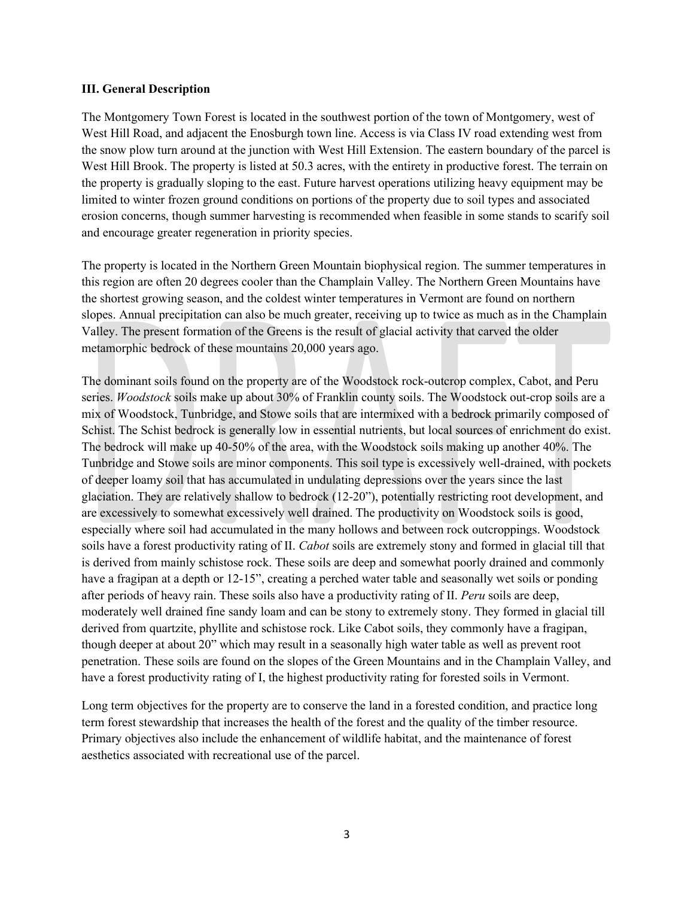#### **III. General Description**

The Montgomery Town Forest is located in the southwest portion of the town of Montgomery, west of West Hill Road, and adjacent the Enosburgh town line. Access is via Class IV road extending west from the snow plow turn around at the junction with West Hill Extension. The eastern boundary of the parcel is West Hill Brook. The property is listed at 50.3 acres, with the entirety in productive forest. The terrain on the property is gradually sloping to the east. Future harvest operations utilizing heavy equipment may be limited to winter frozen ground conditions on portions of the property due to soil types and associated erosion concerns, though summer harvesting is recommended when feasible in some stands to scarify soil and encourage greater regeneration in priority species.

The property is located in the Northern Green Mountain biophysical region. The summer temperatures in this region are often 20 degrees cooler than the Champlain Valley. The Northern Green Mountains have the shortest growing season, and the coldest winter temperatures in Vermont are found on northern slopes. Annual precipitation can also be much greater, receiving up to twice as much as in the Champlain Valley. The present formation of the Greens is the result of glacial activity that carved the older metamorphic bedrock of these mountains 20,000 years ago.

The dominant soils found on the property are of the Woodstock rock-outcrop complex, Cabot, and Peru series. *Woodstock* soils make up about 30% of Franklin county soils. The Woodstock out-crop soils are a mix of Woodstock, Tunbridge, and Stowe soils that are intermixed with a bedrock primarily composed of Schist. The Schist bedrock is generally low in essential nutrients, but local sources of enrichment do exist. The bedrock will make up 40-50% of the area, with the Woodstock soils making up another 40%. The Tunbridge and Stowe soils are minor components. This soil type is excessively well-drained, with pockets of deeper loamy soil that has accumulated in undulating depressions over the years since the last glaciation. They are relatively shallow to bedrock (12-20"), potentially restricting root development, and are excessively to somewhat excessively well drained. The productivity on Woodstock soils is good, especially where soil had accumulated in the many hollows and between rock outcroppings. Woodstock soils have a forest productivity rating of II. *Cabot* soils are extremely stony and formed in glacial till that is derived from mainly schistose rock. These soils are deep and somewhat poorly drained and commonly have a fragipan at a depth or 12-15", creating a perched water table and seasonally wet soils or ponding after periods of heavy rain. These soils also have a productivity rating of II. *Peru* soils are deep, moderately well drained fine sandy loam and can be stony to extremely stony. They formed in glacial till derived from quartzite, phyllite and schistose rock. Like Cabot soils, they commonly have a fragipan, though deeper at about 20" which may result in a seasonally high water table as well as prevent root penetration. These soils are found on the slopes of the Green Mountains and in the Champlain Valley, and have a forest productivity rating of I, the highest productivity rating for forested soils in Vermont.

Long term objectives for the property are to conserve the land in a forested condition, and practice long term forest stewardship that increases the health of the forest and the quality of the timber resource. Primary objectives also include the enhancement of wildlife habitat, and the maintenance of forest aesthetics associated with recreational use of the parcel.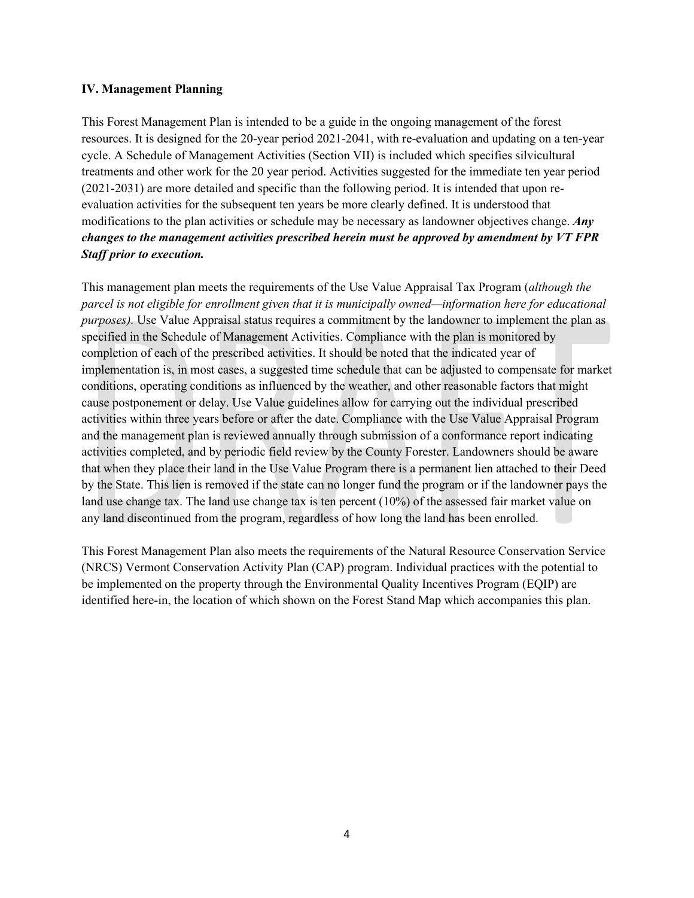#### **IV. Management Planning**

This Forest Management Plan is intended to be a guide in the ongoing management of the forest resources. It is designed for the 20-year period 2021-2041, with re-evaluation and updating on a ten-year cycle. A Schedule of Management Activities (Section VII) is included which specifies silvicultural treatments and other work for the 20 year period. Activities suggested for the immediate ten year period (2021-2031) are more detailed and specific than the following period. It is intended that upon reevaluation activities for the subsequent ten years be more clearly defined. It is understood that modifications to the plan activities or schedule may be necessary as landowner objectives change. *Any changes to the management activities prescribed herein must be approved by amendment by VT FPR Staff prior to execution.*

This management plan meets the requirements of the Use Value Appraisal Tax Program (*although the parcel is not eligible for enrollment given that it is municipally owned—information here for educational purposes).* Use Value Appraisal status requires a commitment by the landowner to implement the plan as specified in the Schedule of Management Activities. Compliance with the plan is monitored by completion of each of the prescribed activities. It should be noted that the indicated year of implementation is, in most cases, a suggested time schedule that can be adjusted to compensate for market conditions, operating conditions as influenced by the weather, and other reasonable factors that might cause postponement or delay. Use Value guidelines allow for carrying out the individual prescribed activities within three years before or after the date. Compliance with the Use Value Appraisal Program and the management plan is reviewed annually through submission of a conformance report indicating activities completed, and by periodic field review by the County Forester. Landowners should be aware that when they place their land in the Use Value Program there is a permanent lien attached to their Deed by the State. This lien is removed if the state can no longer fund the program or if the landowner pays the land use change tax. The land use change tax is ten percent (10%) of the assessed fair market value on any land discontinued from the program, regardless of how long the land has been enrolled.

This Forest Management Plan also meets the requirements of the Natural Resource Conservation Service (NRCS) Vermont Conservation Activity Plan (CAP) program. Individual practices with the potential to be implemented on the property through the Environmental Quality Incentives Program (EQIP) are identified here-in, the location of which shown on the Forest Stand Map which accompanies this plan.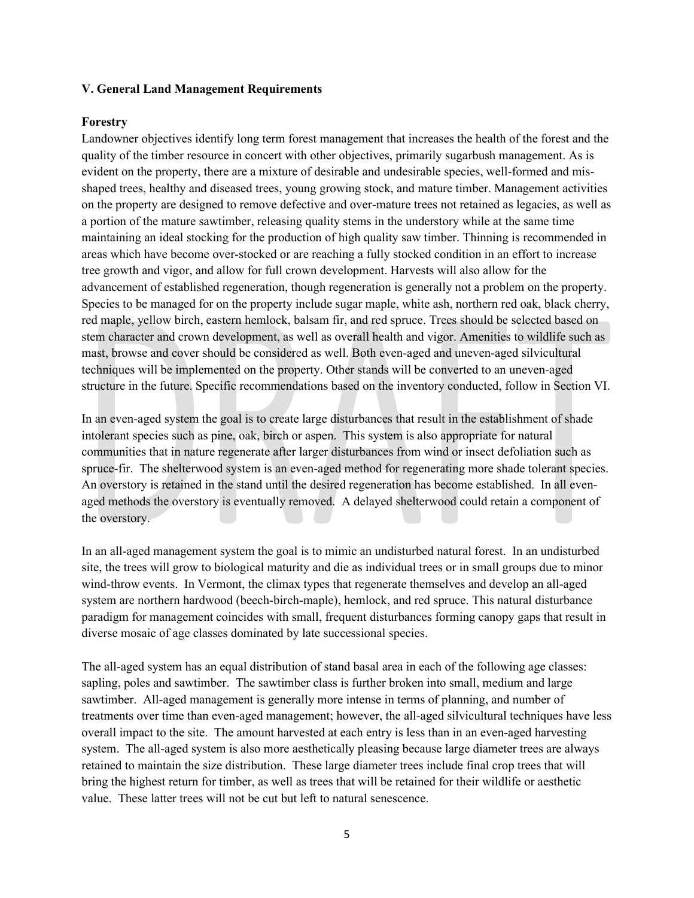#### **V. General Land Management Requirements**

#### **Forestry**

Landowner objectives identify long term forest management that increases the health of the forest and the quality of the timber resource in concert with other objectives, primarily sugarbush management. As is evident on the property, there are a mixture of desirable and undesirable species, well-formed and misshaped trees, healthy and diseased trees, young growing stock, and mature timber. Management activities on the property are designed to remove defective and over-mature trees not retained as legacies, as well as a portion of the mature sawtimber, releasing quality stems in the understory while at the same time maintaining an ideal stocking for the production of high quality saw timber. Thinning is recommended in areas which have become over-stocked or are reaching a fully stocked condition in an effort to increase tree growth and vigor, and allow for full crown development. Harvests will also allow for the advancement of established regeneration, though regeneration is generally not a problem on the property. Species to be managed for on the property include sugar maple, white ash, northern red oak, black cherry, red maple, yellow birch, eastern hemlock, balsam fir, and red spruce. Trees should be selected based on stem character and crown development, as well as overall health and vigor. Amenities to wildlife such as mast, browse and cover should be considered as well. Both even-aged and uneven-aged silvicultural techniques will be implemented on the property. Other stands will be converted to an uneven-aged structure in the future. Specific recommendations based on the inventory conducted, follow in Section VI.

In an even-aged system the goal is to create large disturbances that result in the establishment of shade intolerant species such as pine, oak, birch or aspen. This system is also appropriate for natural communities that in nature regenerate after larger disturbances from wind or insect defoliation such as spruce-fir. The shelterwood system is an even-aged method for regenerating more shade tolerant species. An overstory is retained in the stand until the desired regeneration has become established. In all evenaged methods the overstory is eventually removed. A delayed shelterwood could retain a component of the overstory.

In an all-aged management system the goal is to mimic an undisturbed natural forest. In an undisturbed site, the trees will grow to biological maturity and die as individual trees or in small groups due to minor wind-throw events. In Vermont, the climax types that regenerate themselves and develop an all-aged system are northern hardwood (beech-birch-maple), hemlock, and red spruce. This natural disturbance paradigm for management coincides with small, frequent disturbances forming canopy gaps that result in diverse mosaic of age classes dominated by late successional species.

The all-aged system has an equal distribution of stand basal area in each of the following age classes: sapling, poles and sawtimber. The sawtimber class is further broken into small, medium and large sawtimber. All-aged management is generally more intense in terms of planning, and number of treatments over time than even-aged management; however, the all-aged silvicultural techniques have less overall impact to the site. The amount harvested at each entry is less than in an even-aged harvesting system. The all-aged system is also more aesthetically pleasing because large diameter trees are always retained to maintain the size distribution. These large diameter trees include final crop trees that will bring the highest return for timber, as well as trees that will be retained for their wildlife or aesthetic value. These latter trees will not be cut but left to natural senescence.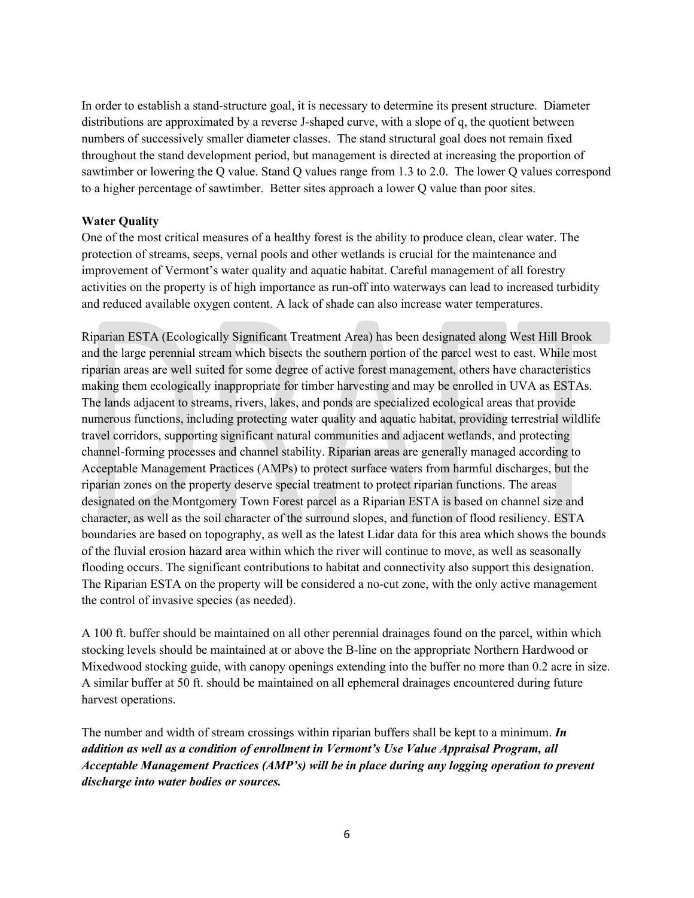In order to establish a stand-structure goal, it is necessary to determine its present structure. Diameter distributions are approximated by a reverse J-shaped curve, with a slope of q, the quotient between numbers of successively smaller diameter classes. The stand structural goal does not remain fixed throughout the stand development period, but management is directed at increasing the proportion of sawtimber or lowering the Q value. Stand Q values range from 1.3 to 2.0. The lower Q values correspond to a higher percentage of sawtimber. Better sites approach a lower Q value than poor sites.

# **Water Quality**

One of the most critical measures of a healthy forest is the ability to produce clean, clear water. The protection of streams, seeps, vernal pools and other wetlands is crucial for the maintenance and improvement of Vermont's water quality and aquatic habitat. Careful management of all forestry activities on the property is of high importance as run-off into waterways can lead to increased turbidity and reduced available oxygen content. A lack of shade can also increase water temperatures.

Riparian ESTA (Ecologically Significant Treatment Area) has been designated along West Hill Brook and the large perennial stream which bisects the southern portion of the parcel west to east. While most riparian areas are well suited for some degree of active forest management, others have characteristics making them ecologically inappropriate for timber harvesting and may be enrolled in UVA as ESTAs. The lands adjacent to streams, rivers, lakes, and ponds are specialized ecological areas that provide numerous functions, including protecting water quality and aquatic habitat, providing terrestrial wildlife travel corridors, supporting significant natural communities and adjacent wetlands, and protecting channel-forming processes and channel stability. Riparian areas are generally managed according to Acceptable Management Practices (AMPs) to protect surface waters from harmful discharges, but the riparian zones on the property deserve special treatment to protect riparian functions. The areas designated on the Montgomery Town Forest parcel as a Riparian ESTA is based on channel size and character, as well as the soil character of the surround slopes, and function of flood resiliency. ESTA boundaries are based on topography, as well as the latest Lidar data for this area which shows the bounds of the fluvial erosion hazard area within which the river will continue to move, as well as seasonally flooding occurs. The significant contributions to habitat and connectivity also support this designation. The Riparian ESTA on the property will be considered a no-cut zone, with the only active management the control of invasive species (as needed).

A 100 ft. buffer should be maintained on all other perennial drainages found on the parcel, within which stocking levels should be maintained at or above the B-line on the appropriate Northern Hardwood or Mixedwood stocking guide, with canopy openings extending into the buffer no more than 0.2 acre in size. A similar buffer at 50 ft. should be maintained on all ephemeral drainages encountered during future harvest operations.

The number and width of stream crossings within riparian buffers shall be kept to a minimum. *In addition as well as a condition of enrollment in Vermont's Use Value Appraisal Program, all Acceptable Management Practices (AMP's) will be in place during any logging operation to prevent discharge into water bodies or sources.*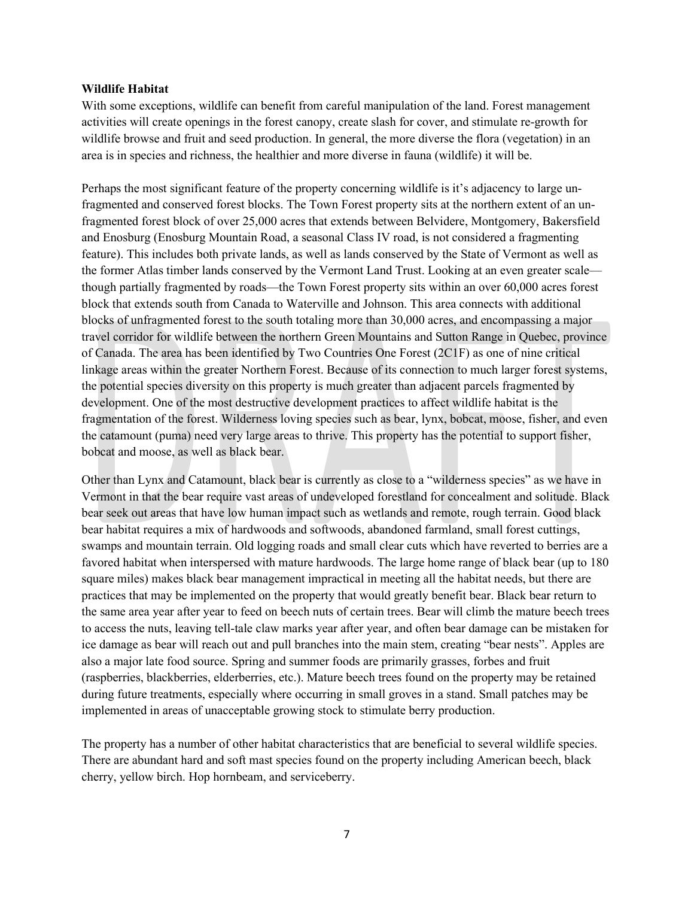#### **Wildlife Habitat**

With some exceptions, wildlife can benefit from careful manipulation of the land. Forest management activities will create openings in the forest canopy, create slash for cover, and stimulate re-growth for wildlife browse and fruit and seed production. In general, the more diverse the flora (vegetation) in an area is in species and richness, the healthier and more diverse in fauna (wildlife) it will be.

Perhaps the most significant feature of the property concerning wildlife is it's adjacency to large unfragmented and conserved forest blocks. The Town Forest property sits at the northern extent of an unfragmented forest block of over 25,000 acres that extends between Belvidere, Montgomery, Bakersfield and Enosburg (Enosburg Mountain Road, a seasonal Class IV road, is not considered a fragmenting feature). This includes both private lands, as well as lands conserved by the State of Vermont as well as the former Atlas timber lands conserved by the Vermont Land Trust. Looking at an even greater scale though partially fragmented by roads—the Town Forest property sits within an over 60,000 acres forest block that extends south from Canada to Waterville and Johnson. This area connects with additional blocks of unfragmented forest to the south totaling more than 30,000 acres, and encompassing a major travel corridor for wildlife between the northern Green Mountains and Sutton Range in Quebec, province of Canada. The area has been identified by Two Countries One Forest (2C1F) as one of nine critical linkage areas within the greater Northern Forest. Because of its connection to much larger forest systems, the potential species diversity on this property is much greater than adjacent parcels fragmented by development. One of the most destructive development practices to affect wildlife habitat is the fragmentation of the forest. Wilderness loving species such as bear, lynx, bobcat, moose, fisher, and even the catamount (puma) need very large areas to thrive. This property has the potential to support fisher, bobcat and moose, as well as black bear.

Other than Lynx and Catamount, black bear is currently as close to a "wilderness species" as we have in Vermont in that the bear require vast areas of undeveloped forestland for concealment and solitude. Black bear seek out areas that have low human impact such as wetlands and remote, rough terrain. Good black bear habitat requires a mix of hardwoods and softwoods, abandoned farmland, small forest cuttings, swamps and mountain terrain. Old logging roads and small clear cuts which have reverted to berries are a favored habitat when interspersed with mature hardwoods. The large home range of black bear (up to 180 square miles) makes black bear management impractical in meeting all the habitat needs, but there are practices that may be implemented on the property that would greatly benefit bear. Black bear return to the same area year after year to feed on beech nuts of certain trees. Bear will climb the mature beech trees to access the nuts, leaving tell-tale claw marks year after year, and often bear damage can be mistaken for ice damage as bear will reach out and pull branches into the main stem, creating "bear nests". Apples are also a major late food source. Spring and summer foods are primarily grasses, forbes and fruit (raspberries, blackberries, elderberries, etc.). Mature beech trees found on the property may be retained during future treatments, especially where occurring in small groves in a stand. Small patches may be implemented in areas of unacceptable growing stock to stimulate berry production.

The property has a number of other habitat characteristics that are beneficial to several wildlife species. There are abundant hard and soft mast species found on the property including American beech, black cherry, yellow birch. Hop hornbeam, and serviceberry.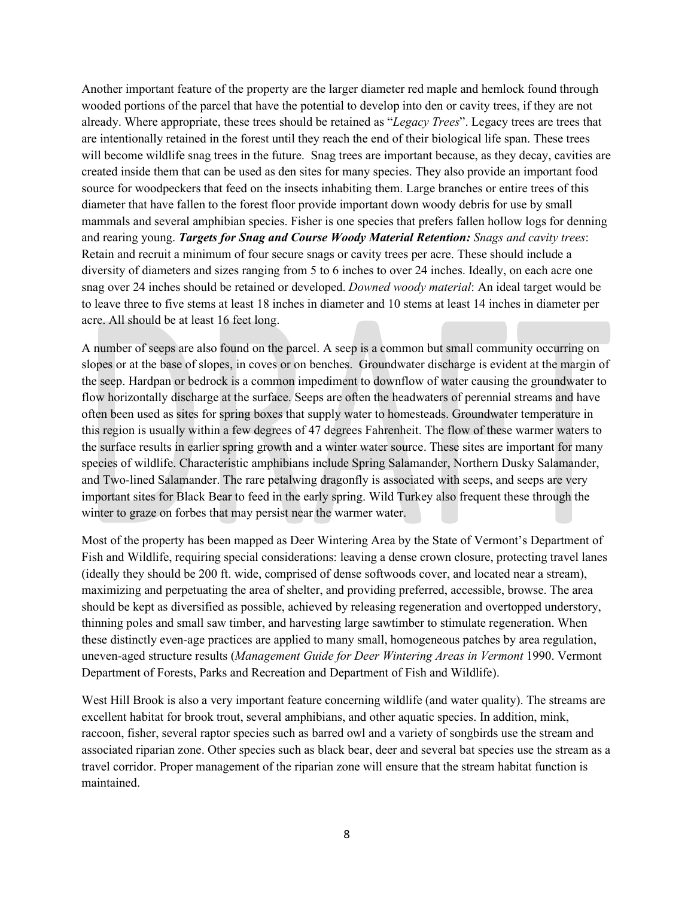Another important feature of the property are the larger diameter red maple and hemlock found through wooded portions of the parcel that have the potential to develop into den or cavity trees, if they are not already. Where appropriate, these trees should be retained as "*Legacy Trees*". Legacy trees are trees that are intentionally retained in the forest until they reach the end of their biological life span. These trees will become wildlife snag trees in the future. Snag trees are important because, as they decay, cavities are created inside them that can be used as den sites for many species. They also provide an important food source for woodpeckers that feed on the insects inhabiting them. Large branches or entire trees of this diameter that have fallen to the forest floor provide important down woody debris for use by small mammals and several amphibian species. Fisher is one species that prefers fallen hollow logs for denning and rearing young. *Targets for Snag and Course Woody Material Retention: Snags and cavity trees*: Retain and recruit a minimum of four secure snags or cavity trees per acre. These should include a diversity of diameters and sizes ranging from 5 to 6 inches to over 24 inches. Ideally, on each acre one snag over 24 inches should be retained or developed. *Downed woody material*: An ideal target would be to leave three to five stems at least 18 inches in diameter and 10 stems at least 14 inches in diameter per acre. All should be at least 16 feet long.

A number of seeps are also found on the parcel. A seep is a common but small community occurring on slopes or at the base of slopes, in coves or on benches. Groundwater discharge is evident at the margin of the seep. Hardpan or bedrock is a common impediment to downflow of water causing the groundwater to flow horizontally discharge at the surface. Seeps are often the headwaters of perennial streams and have often been used as sites for spring boxes that supply water to homesteads. Groundwater temperature in this region is usually within a few degrees of 47 degrees Fahrenheit. The flow of these warmer waters to the surface results in earlier spring growth and a winter water source. These sites are important for many species of wildlife. Characteristic amphibians include Spring Salamander, Northern Dusky Salamander, and Two-lined Salamander. The rare petalwing dragonfly is associated with seeps, and seeps are very important sites for Black Bear to feed in the early spring. Wild Turkey also frequent these through the winter to graze on forbes that may persist near the warmer water.

Most of the property has been mapped as Deer Wintering Area by the State of Vermont's Department of Fish and Wildlife, requiring special considerations: leaving a dense crown closure, protecting travel lanes (ideally they should be 200 ft. wide, comprised of dense softwoods cover, and located near a stream), maximizing and perpetuating the area of shelter, and providing preferred, accessible, browse. The area should be kept as diversified as possible, achieved by releasing regeneration and overtopped understory, thinning poles and small saw timber, and harvesting large sawtimber to stimulate regeneration. When these distinctly even-age practices are applied to many small, homogeneous patches by area regulation, uneven-aged structure results (*Management Guide for Deer Wintering Areas in Vermont* 1990. Vermont Department of Forests, Parks and Recreation and Department of Fish and Wildlife).

West Hill Brook is also a very important feature concerning wildlife (and water quality). The streams are excellent habitat for brook trout, several amphibians, and other aquatic species. In addition, mink, raccoon, fisher, several raptor species such as barred owl and a variety of songbirds use the stream and associated riparian zone. Other species such as black bear, deer and several bat species use the stream as a travel corridor. Proper management of the riparian zone will ensure that the stream habitat function is maintained.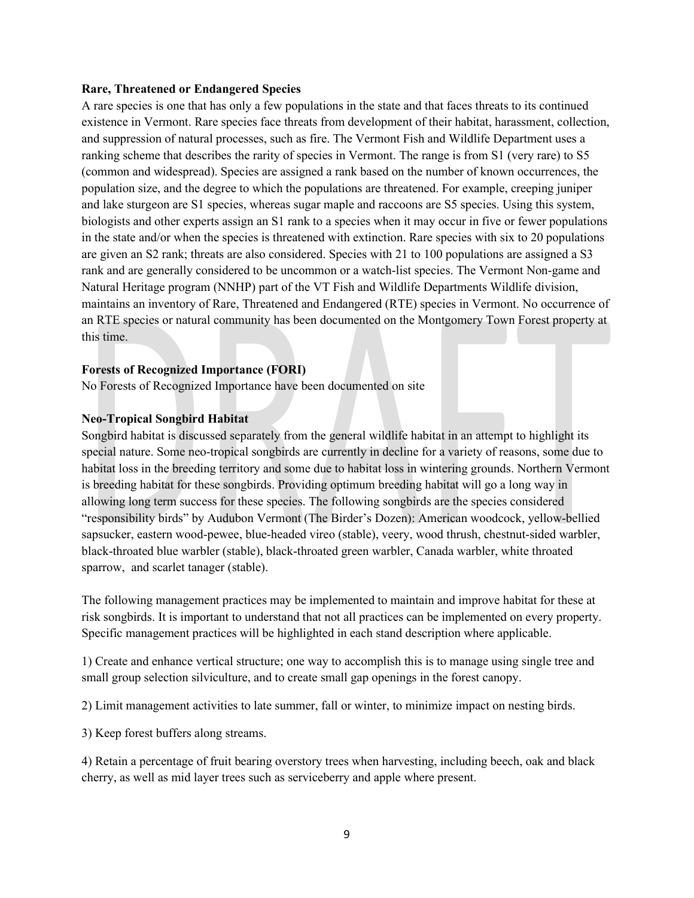#### **Rare, Threatened or Endangered Species**

A rare species is one that has only a few populations in the state and that faces threats to its continued existence in Vermont. Rare species face threats from development of their habitat, harassment, collection, and suppression of natural processes, such as fire. The Vermont Fish and Wildlife Department uses a ranking scheme that describes the rarity of species in Vermont. The range is from S1 (very rare) to S5 (common and widespread). Species are assigned a rank based on the number of known occurrences, the population size, and the degree to which the populations are threatened. For example, creeping juniper and lake sturgeon are S1 species, whereas sugar maple and raccoons are S5 species. Using this system, biologists and other experts assign an S1 rank to a species when it may occur in five or fewer populations in the state and/or when the species is threatened with extinction. Rare species with six to 20 populations are given an S2 rank; threats are also considered. Species with 21 to 100 populations are assigned a S3 rank and are generally considered to be uncommon or a watch-list species. The Vermont Non-game and Natural Heritage program (NNHP) part of the VT Fish and Wildlife Departments Wildlife division, maintains an inventory of Rare, Threatened and Endangered (RTE) species in Vermont. No occurrence of an RTE species or natural community has been documented on the Montgomery Town Forest property at this time.

#### **Forests of Recognized Importance (FORI)**

No Forests of Recognized Importance have been documented on site

#### **Neo-Tropical Songbird Habitat**

Songbird habitat is discussed separately from the general wildlife habitat in an attempt to highlight its special nature. Some neo-tropical songbirds are currently in decline for a variety of reasons, some due to habitat loss in the breeding territory and some due to habitat loss in wintering grounds. Northern Vermont is breeding habitat for these songbirds. Providing optimum breeding habitat will go a long way in allowing long term success for these species. The following songbirds are the species considered "responsibility birds" by Audubon Vermont (The Birder's Dozen): American woodcock, yellow-bellied sapsucker, eastern wood-pewee, blue-headed vireo (stable), veery, wood thrush, chestnut-sided warbler, black-throated blue warbler (stable), black-throated green warbler, Canada warbler, white throated sparrow, and scarlet tanager (stable).

The following management practices may be implemented to maintain and improve habitat for these at risk songbirds. It is important to understand that not all practices can be implemented on every property. Specific management practices will be highlighted in each stand description where applicable.

1) Create and enhance vertical structure; one way to accomplish this is to manage using single tree and small group selection silviculture, and to create small gap openings in the forest canopy.

2) Limit management activities to late summer, fall or winter, to minimize impact on nesting birds.

3) Keep forest buffers along streams.

4) Retain a percentage of fruit bearing overstory trees when harvesting, including beech, oak and black cherry, as well as mid layer trees such as serviceberry and apple where present.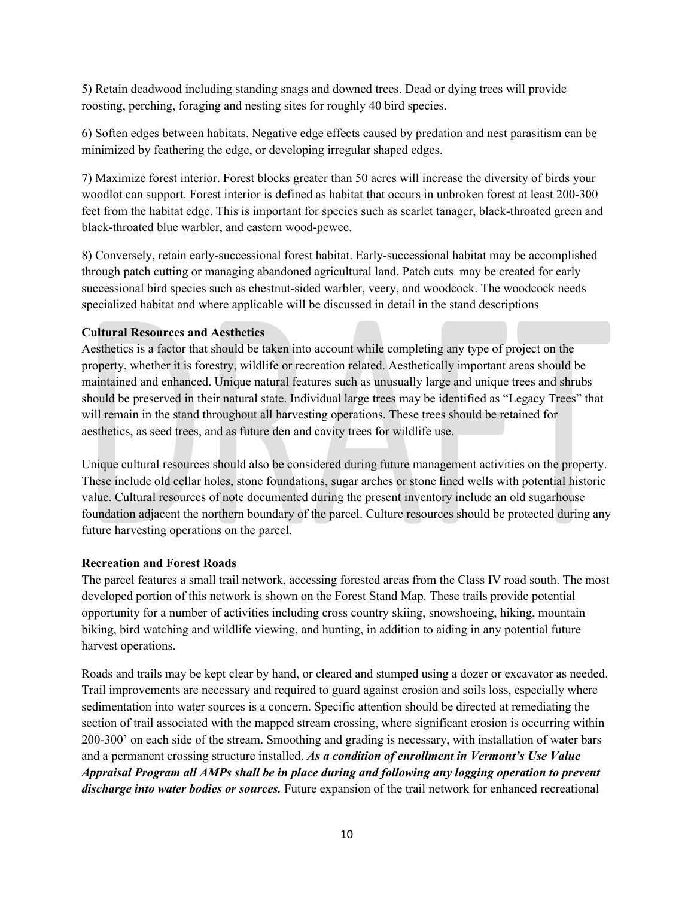5) Retain deadwood including standing snags and downed trees. Dead or dying trees will provide roosting, perching, foraging and nesting sites for roughly 40 bird species.

6) Soften edges between habitats. Negative edge effects caused by predation and nest parasitism can be minimized by feathering the edge, or developing irregular shaped edges.

7) Maximize forest interior. Forest blocks greater than 50 acres will increase the diversity of birds your woodlot can support. Forest interior is defined as habitat that occurs in unbroken forest at least 200-300 feet from the habitat edge. This is important for species such as scarlet tanager, black-throated green and black-throated blue warbler, and eastern wood-pewee.

8) Conversely, retain early-successional forest habitat. Early-successional habitat may be accomplished through patch cutting or managing abandoned agricultural land. Patch cuts may be created for early successional bird species such as chestnut-sided warbler, veery, and woodcock. The woodcock needs specialized habitat and where applicable will be discussed in detail in the stand descriptions

# **Cultural Resources and Aesthetics**

Aesthetics is a factor that should be taken into account while completing any type of project on the property, whether it is forestry, wildlife or recreation related. Aesthetically important areas should be maintained and enhanced. Unique natural features such as unusually large and unique trees and shrubs should be preserved in their natural state. Individual large trees may be identified as "Legacy Trees" that will remain in the stand throughout all harvesting operations. These trees should be retained for aesthetics, as seed trees, and as future den and cavity trees for wildlife use.

Unique cultural resources should also be considered during future management activities on the property. These include old cellar holes, stone foundations, sugar arches or stone lined wells with potential historic value. Cultural resources of note documented during the present inventory include an old sugarhouse foundation adjacent the northern boundary of the parcel. Culture resources should be protected during any future harvesting operations on the parcel.

#### **Recreation and Forest Roads**

The parcel features a small trail network, accessing forested areas from the Class IV road south. The most developed portion of this network is shown on the Forest Stand Map. These trails provide potential opportunity for a number of activities including cross country skiing, snowshoeing, hiking, mountain biking, bird watching and wildlife viewing, and hunting, in addition to aiding in any potential future harvest operations.

Roads and trails may be kept clear by hand, or cleared and stumped using a dozer or excavator as needed. Trail improvements are necessary and required to guard against erosion and soils loss, especially where sedimentation into water sources is a concern. Specific attention should be directed at remediating the section of trail associated with the mapped stream crossing, where significant erosion is occurring within 200-300' on each side of the stream. Smoothing and grading is necessary, with installation of water bars and a permanent crossing structure installed. *As a condition of enrollment in Vermont's Use Value Appraisal Program all AMPs shall be in place during and following any logging operation to prevent discharge into water bodies or sources.* Future expansion of the trail network for enhanced recreational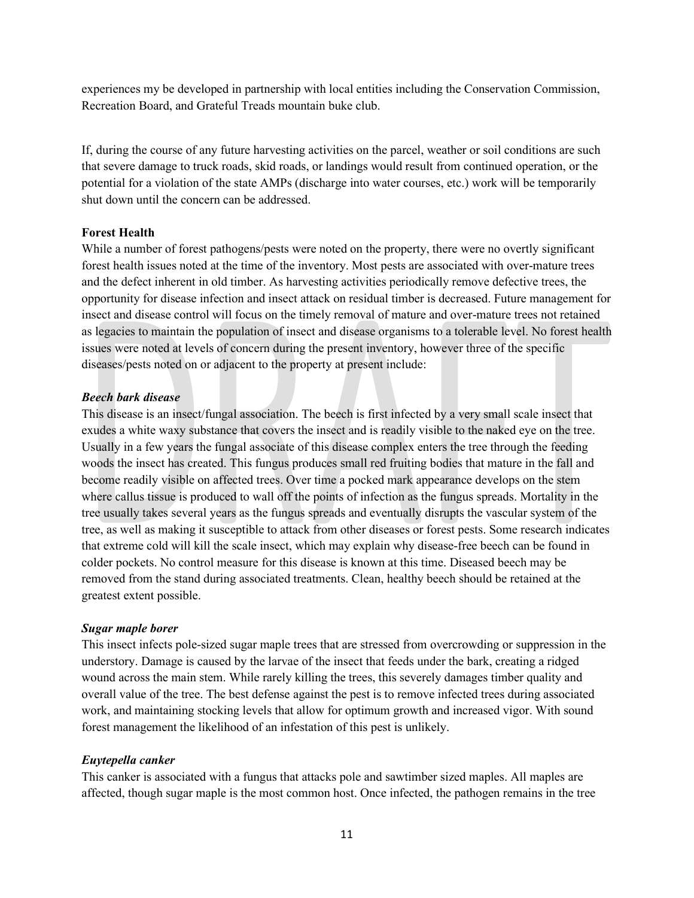experiences my be developed in partnership with local entities including the Conservation Commission, Recreation Board, and Grateful Treads mountain buke club.

If, during the course of any future harvesting activities on the parcel, weather or soil conditions are such that severe damage to truck roads, skid roads, or landings would result from continued operation, or the potential for a violation of the state AMPs (discharge into water courses, etc.) work will be temporarily shut down until the concern can be addressed.

#### **Forest Health**

While a number of forest pathogens/pests were noted on the property, there were no overtly significant forest health issues noted at the time of the inventory. Most pests are associated with over-mature trees and the defect inherent in old timber. As harvesting activities periodically remove defective trees, the opportunity for disease infection and insect attack on residual timber is decreased. Future management for insect and disease control will focus on the timely removal of mature and over-mature trees not retained as legacies to maintain the population of insect and disease organisms to a tolerable level. No forest health issues were noted at levels of concern during the present inventory, however three of the specific diseases/pests noted on or adjacent to the property at present include:

#### *Beech bark disease*

This disease is an insect/fungal association. The beech is first infected by a very small scale insect that exudes a white waxy substance that covers the insect and is readily visible to the naked eye on the tree. Usually in a few years the fungal associate of this disease complex enters the tree through the feeding woods the insect has created. This fungus produces small red fruiting bodies that mature in the fall and become readily visible on affected trees. Over time a pocked mark appearance develops on the stem where callus tissue is produced to wall off the points of infection as the fungus spreads. Mortality in the tree usually takes several years as the fungus spreads and eventually disrupts the vascular system of the tree, as well as making it susceptible to attack from other diseases or forest pests. Some research indicates that extreme cold will kill the scale insect, which may explain why disease-free beech can be found in colder pockets. No control measure for this disease is known at this time. Diseased beech may be removed from the stand during associated treatments. Clean, healthy beech should be retained at the greatest extent possible.

#### *Sugar maple borer*

This insect infects pole-sized sugar maple trees that are stressed from overcrowding or suppression in the understory. Damage is caused by the larvae of the insect that feeds under the bark, creating a ridged wound across the main stem. While rarely killing the trees, this severely damages timber quality and overall value of the tree. The best defense against the pest is to remove infected trees during associated work, and maintaining stocking levels that allow for optimum growth and increased vigor. With sound forest management the likelihood of an infestation of this pest is unlikely.

#### *Euytepella canker*

This canker is associated with a fungus that attacks pole and sawtimber sized maples. All maples are affected, though sugar maple is the most common host. Once infected, the pathogen remains in the tree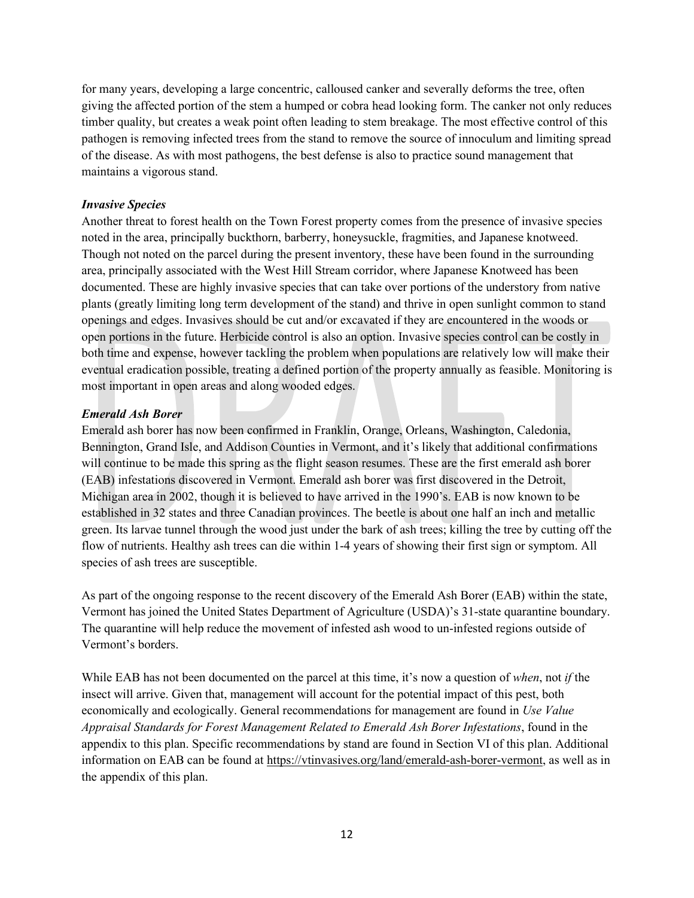for many years, developing a large concentric, calloused canker and severally deforms the tree, often giving the affected portion of the stem a humped or cobra head looking form. The canker not only reduces timber quality, but creates a weak point often leading to stem breakage. The most effective control of this pathogen is removing infected trees from the stand to remove the source of innoculum and limiting spread of the disease. As with most pathogens, the best defense is also to practice sound management that maintains a vigorous stand.

# *Invasive Species*

Another threat to forest health on the Town Forest property comes from the presence of invasive species noted in the area, principally buckthorn, barberry, honeysuckle, fragmities, and Japanese knotweed. Though not noted on the parcel during the present inventory, these have been found in the surrounding area, principally associated with the West Hill Stream corridor, where Japanese Knotweed has been documented. These are highly invasive species that can take over portions of the understory from native plants (greatly limiting long term development of the stand) and thrive in open sunlight common to stand openings and edges. Invasives should be cut and/or excavated if they are encountered in the woods or open portions in the future. Herbicide control is also an option. Invasive species control can be costly in both time and expense, however tackling the problem when populations are relatively low will make their eventual eradication possible, treating a defined portion of the property annually as feasible. Monitoring is most important in open areas and along wooded edges.

#### *Emerald Ash Borer*

[Emerald](https://vtinvasives.org/invasive/emerald-ash-borer) ash borer has now been confirmed in Franklin, Orange, Orleans, Washington, Caledonia, Bennington, Grand Isle, and Addison Counties in Vermont, and it's likely that additional confirmations will continue to be made this spring as the flight season resumes. These are the first emerald ash borer (EAB) infestations discovered in Vermont. Emerald ash borer was first discovered in the Detroit, Michigan area in 2002, though it is believed to have arrived in the 1990's. EAB is now known to be established in 32 states and three Canadian provinces. The beetle is about one half an inch and metallic green. Its larvae tunnel through the wood just under the bark of ash trees; killing the tree by cutting off the flow of nutrients. Healthy ash trees can die within 1-4 years of showing their first sign or symptom. All species of ash trees are susceptible.

As part of the ongoing response to the recent discovery of the Emerald Ash Borer (EAB) within the state, Vermont has joined the United States Department of Agriculture (USDA)'s 31-state quarantine boundary. The [quarantine](https://vtinvasives.org/quarantine-information) will help reduce the movement of infested ash wood to un-infested regions outside of Vermont's borders.

While EAB has not been documented on the parcel at this time, it's now a question of *when*, not *if* the insect will arrive. Given that, management will account for the potential impact of this pest, both economically and ecologically. General recommendations for management are found in *Use Value Appraisal Standards for Forest Management Related to Emerald Ash Borer Infestations*, found in the appendix to this plan. Specific recommendations by stand are found in Section VI of this plan. Additional information on EAB can be found at [https://vtinvasives.org/land/emerald-ash-borer-vermont,](https://vtinvasives.org/land/emerald-ash-borer-vermont) as well as in the appendix of this plan.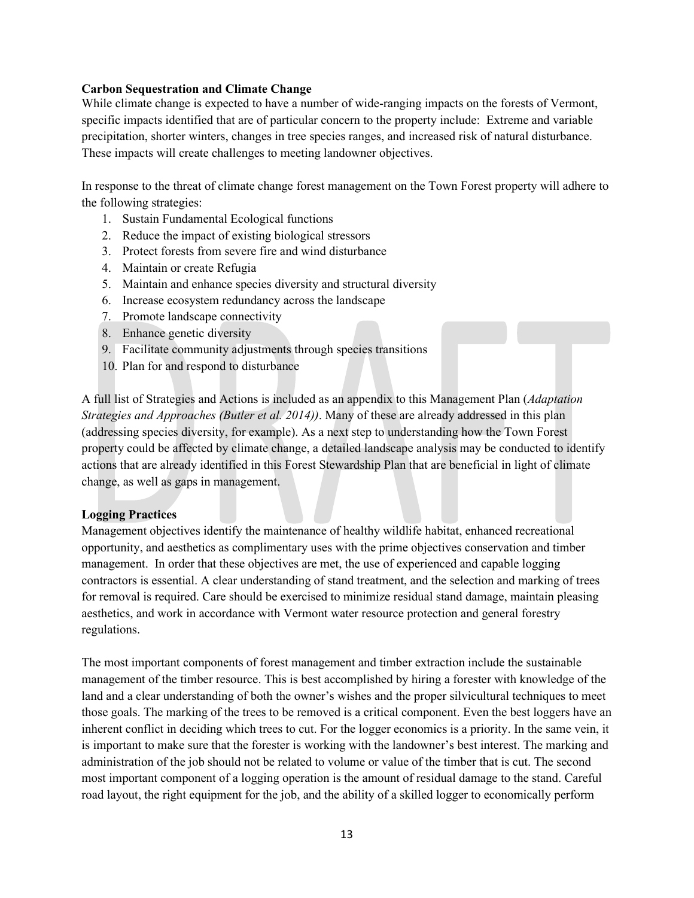#### **Carbon Sequestration and Climate Change**

While climate change is expected to have a number of wide-ranging impacts on the forests of Vermont, specific impacts identified that are of particular concern to the property include: Extreme and variable precipitation, shorter winters, changes in tree species ranges, and increased risk of natural disturbance. These impacts will create challenges to meeting landowner objectives.

In response to the threat of climate change forest management on the Town Forest property will adhere to the following strategies:

- 1. Sustain Fundamental Ecological functions
- 2. Reduce the impact of existing biological stressors
- 3. Protect forests from severe fire and wind disturbance
- 4. Maintain or create Refugia
- 5. Maintain and enhance species diversity and structural diversity
- 6. Increase ecosystem redundancy across the landscape
- 7. Promote landscape connectivity
- 8. Enhance genetic diversity
- 9. Facilitate community adjustments through species transitions
- 10. Plan for and respond to disturbance

A full list of Strategies and Actions is included as an appendix to this Management Plan (*Adaptation Strategies and Approaches (Butler et al. 2014))*. Many of these are already addressed in this plan (addressing species diversity, for example). As a next step to understanding how the Town Forest property could be affected by climate change, a detailed landscape analysis may be conducted to identify actions that are already identified in this Forest Stewardship Plan that are beneficial in light of climate change, as well as gaps in management.

#### **Logging Practices**

Management objectives identify the maintenance of healthy wildlife habitat, enhanced recreational opportunity, and aesthetics as complimentary uses with the prime objectives conservation and timber management. In order that these objectives are met, the use of experienced and capable logging contractors is essential. A clear understanding of stand treatment, and the selection and marking of trees for removal is required. Care should be exercised to minimize residual stand damage, maintain pleasing aesthetics, and work in accordance with Vermont water resource protection and general forestry regulations.

The most important components of forest management and timber extraction include the sustainable management of the timber resource. This is best accomplished by hiring a forester with knowledge of the land and a clear understanding of both the owner's wishes and the proper silvicultural techniques to meet those goals. The marking of the trees to be removed is a critical component. Even the best loggers have an inherent conflict in deciding which trees to cut. For the logger economics is a priority. In the same vein, it is important to make sure that the forester is working with the landowner's best interest. The marking and administration of the job should not be related to volume or value of the timber that is cut. The second most important component of a logging operation is the amount of residual damage to the stand. Careful road layout, the right equipment for the job, and the ability of a skilled logger to economically perform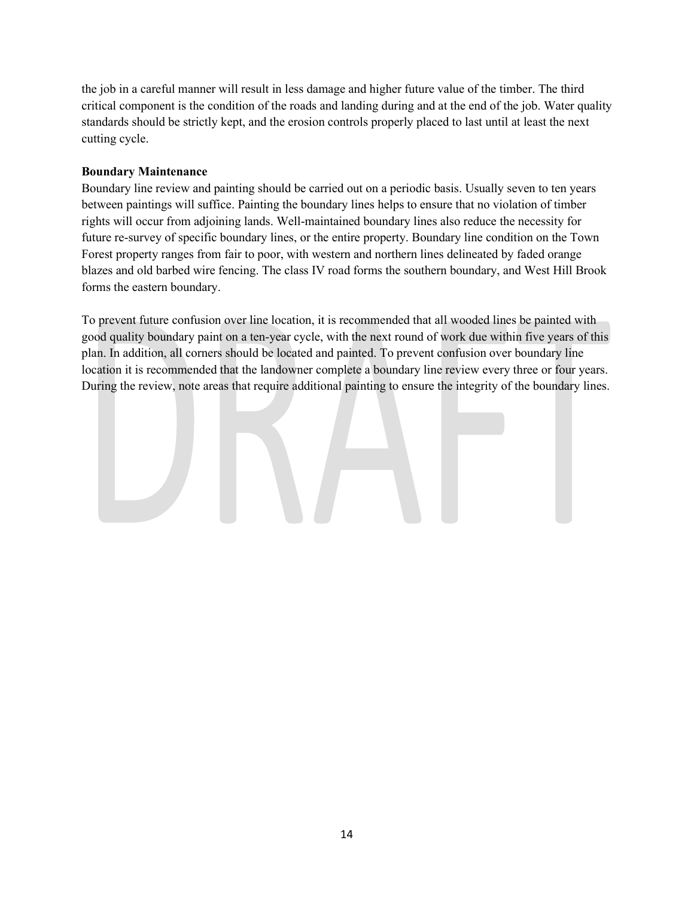the job in a careful manner will result in less damage and higher future value of the timber. The third critical component is the condition of the roads and landing during and at the end of the job. Water quality standards should be strictly kept, and the erosion controls properly placed to last until at least the next cutting cycle.

# **Boundary Maintenance**

Boundary line review and painting should be carried out on a periodic basis. Usually seven to ten years between paintings will suffice. Painting the boundary lines helps to ensure that no violation of timber rights will occur from adjoining lands. Well-maintained boundary lines also reduce the necessity for future re-survey of specific boundary lines, or the entire property. Boundary line condition on the Town Forest property ranges from fair to poor, with western and northern lines delineated by faded orange blazes and old barbed wire fencing. The class IV road forms the southern boundary, and West Hill Brook forms the eastern boundary.

To prevent future confusion over line location, it is recommended that all wooded lines be painted with good quality boundary paint on a ten-year cycle, with the next round of work due within five years of this plan. In addition, all corners should be located and painted. To prevent confusion over boundary line location it is recommended that the landowner complete a boundary line review every three or four years. During the review, note areas that require additional painting to ensure the integrity of the boundary lines.

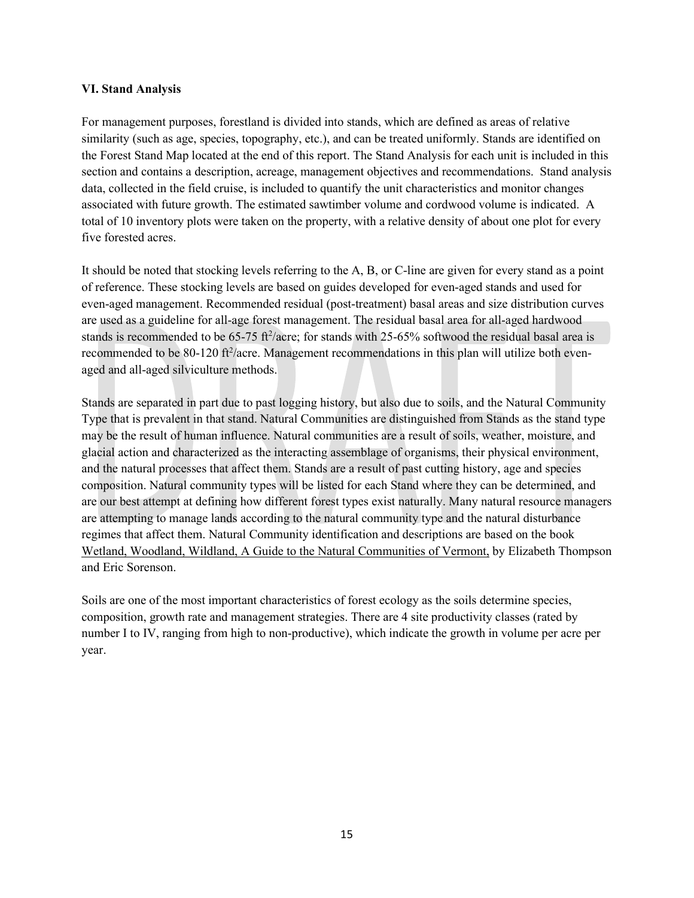#### **VI. Stand Analysis**

For management purposes, forestland is divided into stands, which are defined as areas of relative similarity (such as age, species, topography, etc.), and can be treated uniformly. Stands are identified on the Forest Stand Map located at the end of this report. The Stand Analysis for each unit is included in this section and contains a description, acreage, management objectives and recommendations. Stand analysis data, collected in the field cruise, is included to quantify the unit characteristics and monitor changes associated with future growth. The estimated sawtimber volume and cordwood volume is indicated. A total of 10 inventory plots were taken on the property, with a relative density of about one plot for every five forested acres.

It should be noted that stocking levels referring to the A, B, or C-line are given for every stand as a point of reference. These stocking levels are based on guides developed for even-aged stands and used for even-aged management. Recommended residual (post-treatment) basal areas and size distribution curves are used as a guideline for all-age forest management. The residual basal area for all-aged hardwood stands is recommended to be  $65-75$  ft<sup>2</sup>/acre; for stands with 25-65% softwood the residual basal area is recommended to be 80-120 ft<sup>2</sup>/acre. Management recommendations in this plan will utilize both evenaged and all-aged silviculture methods.

Stands are separated in part due to past logging history, but also due to soils, and the Natural Community Type that is prevalent in that stand. Natural Communities are distinguished from Stands as the stand type may be the result of human influence. Natural communities are a result of soils, weather, moisture, and glacial action and characterized as the interacting assemblage of organisms, their physical environment, and the natural processes that affect them. Stands are a result of past cutting history, age and species composition. Natural community types will be listed for each Stand where they can be determined, and are our best attempt at defining how different forest types exist naturally. Many natural resource managers are attempting to manage lands according to the natural community type and the natural disturbance regimes that affect them. Natural Community identification and descriptions are based on the book Wetland, Woodland, Wildland, A Guide to the Natural Communities of Vermont, by Elizabeth Thompson and Eric Sorenson.

Soils are one of the most important characteristics of forest ecology as the soils determine species, composition, growth rate and management strategies. There are 4 site productivity classes (rated by number I to IV, ranging from high to non-productive), which indicate the growth in volume per acre per year.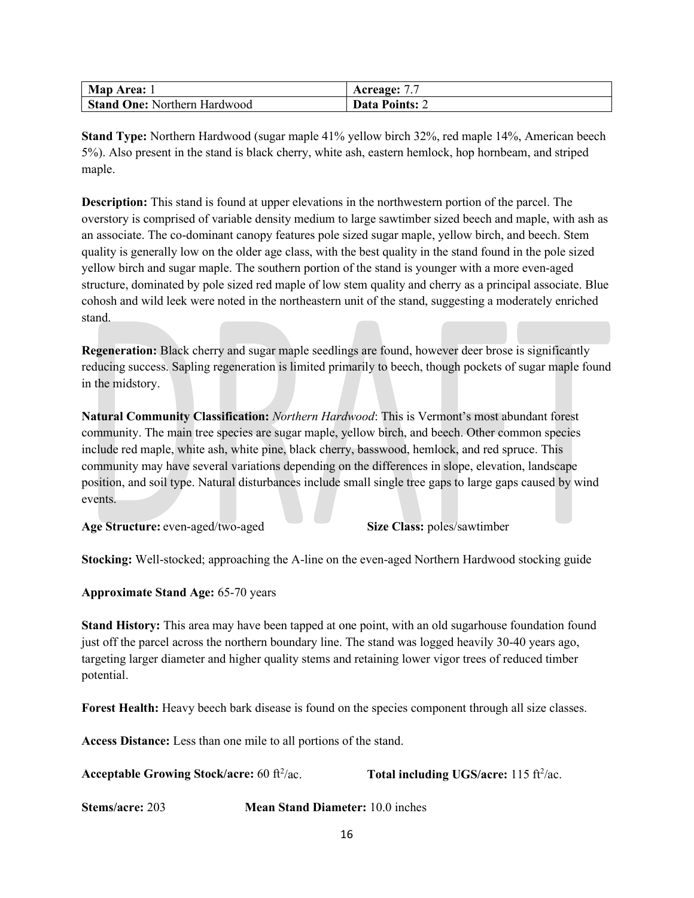| Map Area: 1                         | Acreage:              |
|-------------------------------------|-----------------------|
| <b>Stand One: Northern Hardwood</b> | <b>Data Points:</b> 2 |

**Stand Type:** Northern Hardwood (sugar maple 41% yellow birch 32%, red maple 14%, American beech 5%). Also present in the stand is black cherry, white ash, eastern hemlock, hop hornbeam, and striped maple.

**Description:** This stand is found at upper elevations in the northwestern portion of the parcel. The overstory is comprised of variable density medium to large sawtimber sized beech and maple, with ash as an associate. The co-dominant canopy features pole sized sugar maple, yellow birch, and beech. Stem quality is generally low on the older age class, with the best quality in the stand found in the pole sized yellow birch and sugar maple. The southern portion of the stand is younger with a more even-aged structure, dominated by pole sized red maple of low stem quality and cherry as a principal associate. Blue cohosh and wild leek were noted in the northeastern unit of the stand, suggesting a moderately enriched stand.

**Regeneration:** Black cherry and sugar maple seedlings are found, however deer brose is significantly reducing success. Sapling regeneration is limited primarily to beech, though pockets of sugar maple found in the midstory.

**Natural Community Classification:** *Northern Hardwood*: This is Vermont's most abundant forest community. The main tree species are sugar maple, yellow birch, and beech. Other common species include red maple, white ash, white pine, black cherry, basswood, hemlock, and red spruce. This community may have several variations depending on the differences in slope, elevation, landscape position, and soil type. Natural disturbances include small single tree gaps to large gaps caused by wind events.

**Age Structure:** even-aged/two-aged **Size Class:** poles/sawtimber

**Stocking:** Well-stocked; approaching the A-line on the even-aged Northern Hardwood stocking guide

**Approximate Stand Age:** 65-70 years

**Stand History:** This area may have been tapped at one point, with an old sugarhouse foundation found just off the parcel across the northern boundary line. The stand was logged heavily 30-40 years ago, targeting larger diameter and higher quality stems and retaining lower vigor trees of reduced timber potential.

**Forest Health:** Heavy beech bark disease is found on the species component through all size classes.

**Access Distance:** Less than one mile to all portions of the stand.

**Acceptable Growing Stock/acre:** 60 ft<sup>2</sup>/ac.

/ac. **Total including UGS/acre:** 115 ft<sup>2</sup>/ac.

**Stems/acre:** 203 **Mean Stand Diameter:** 10.0 inches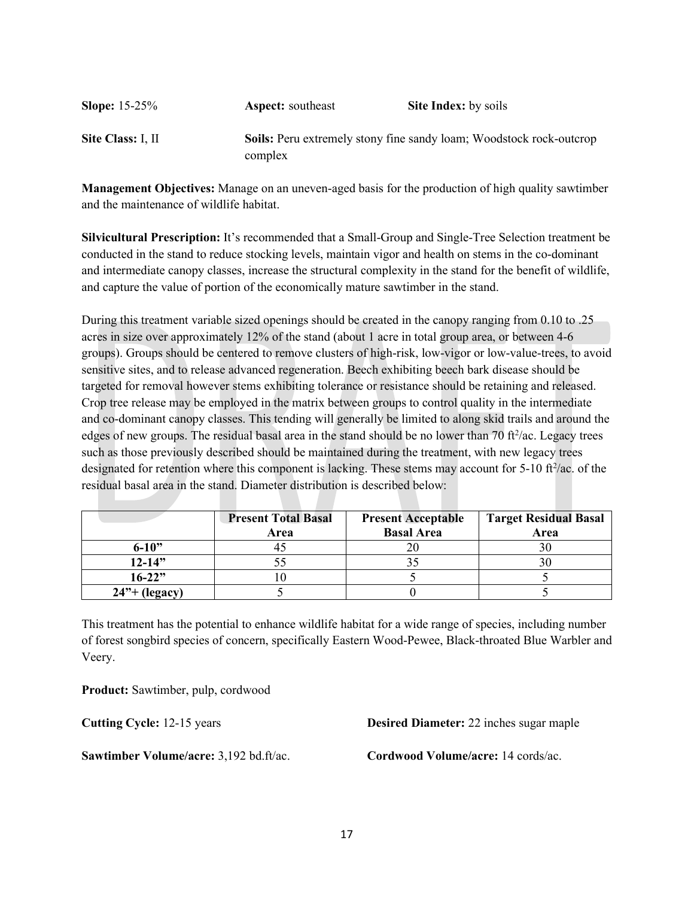| <b>Slope:</b> $15-25%$ | <b>Aspect:</b> southeast | <b>Site Index:</b> by soils                                                |
|------------------------|--------------------------|----------------------------------------------------------------------------|
| Site Class: I, II      |                          | <b>Soils:</b> Peru extremely stony fine sandy loam; Woodstock rock-outcrop |
|                        | complex                  |                                                                            |

**Management Objectives:** Manage on an uneven-aged basis for the production of high quality sawtimber and the maintenance of wildlife habitat.

**Silvicultural Prescription:** It's recommended that a Small-Group and Single-Tree Selection treatment be conducted in the stand to reduce stocking levels, maintain vigor and health on stems in the co-dominant and intermediate canopy classes, increase the structural complexity in the stand for the benefit of wildlife, and capture the value of portion of the economically mature sawtimber in the stand.

During this treatment variable sized openings should be created in the canopy ranging from 0.10 to .25 acres in size over approximately 12% of the stand (about 1 acre in total group area, or between 4-6 groups). Groups should be centered to remove clusters of high-risk, low-vigor or low-value-trees, to avoid sensitive sites, and to release advanced regeneration. Beech exhibiting beech bark disease should be targeted for removal however stems exhibiting tolerance or resistance should be retaining and released. Crop tree release may be employed in the matrix between groups to control quality in the intermediate and co-dominant canopy classes. This tending will generally be limited to along skid trails and around the edges of new groups. The residual basal area in the stand should be no lower than 70 ft $\frac{2}{a}$ c. Legacy trees such as those previously described should be maintained during the treatment, with new legacy trees designated for retention where this component is lacking. These stems may account for  $5\n-10$  ft $\frac{2}{ac}$ . of the residual basal area in the stand. Diameter distribution is described below:

|                            | <b>Present Total Basal</b><br>Area | <b>Present Acceptable</b><br><b>Basal Area</b> | <b>Target Residual Basal</b><br>Area |
|----------------------------|------------------------------------|------------------------------------------------|--------------------------------------|
| $6 - 10$ "                 |                                    |                                                |                                      |
| $12 - 14"$                 |                                    |                                                |                                      |
| $16 - 22"$                 |                                    |                                                |                                      |
| $24$ <sup>3</sup> (legacy) |                                    |                                                |                                      |

This treatment has the potential to enhance wildlife habitat for a wide range of species, including number of forest songbird species of concern, specifically Eastern Wood-Pewee, Black-throated Blue Warbler and Veery.

**Product:** Sawtimber, pulp, cordwood

**Sawtimber Volume/acre:** 3,192 bd.ft/ac. **Cordwood Volume/acre:** 14 cords/ac.

**Cutting Cycle:** 12-15 years **Desired Diameter:** 22 inches sugar maple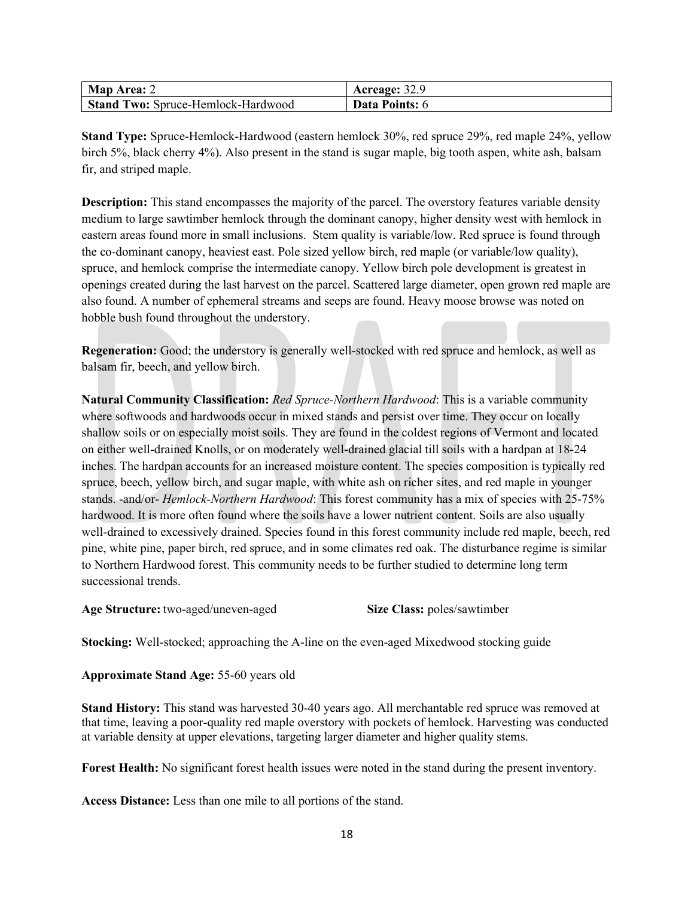| <b>Map Area: 2</b>                        | Acreage: 32.9         |
|-------------------------------------------|-----------------------|
| <b>Stand Two: Spruce-Hemlock-Hardwood</b> | <b>Data Points: 6</b> |

**Stand Type:** Spruce-Hemlock-Hardwood (eastern hemlock 30%, red spruce 29%, red maple 24%, yellow birch 5%, black cherry 4%). Also present in the stand is sugar maple, big tooth aspen, white ash, balsam fir, and striped maple.

**Description:** This stand encompasses the majority of the parcel. The overstory features variable density medium to large sawtimber hemlock through the dominant canopy, higher density west with hemlock in eastern areas found more in small inclusions. Stem quality is variable/low. Red spruce is found through the co-dominant canopy, heaviest east. Pole sized yellow birch, red maple (or variable/low quality), spruce, and hemlock comprise the intermediate canopy. Yellow birch pole development is greatest in openings created during the last harvest on the parcel. Scattered large diameter, open grown red maple are also found. A number of ephemeral streams and seeps are found. Heavy moose browse was noted on hobble bush found throughout the understory.

**Regeneration:** Good; the understory is generally well-stocked with red spruce and hemlock, as well as balsam fir, beech, and yellow birch.

**Natural Community Classification:** *Red Spruce-Northern Hardwood*: This is a variable community where softwoods and hardwoods occur in mixed stands and persist over time. They occur on locally shallow soils or on especially moist soils. They are found in the coldest regions of Vermont and located on either well-drained Knolls, or on moderately well-drained glacial till soils with a hardpan at 18-24 inches. The hardpan accounts for an increased moisture content. The species composition is typically red spruce, beech, yellow birch, and sugar maple, with white ash on richer sites, and red maple in younger stands. -and/or- *Hemlock-Northern Hardwood*: This forest community has a mix of species with 25-75% hardwood. It is more often found where the soils have a lower nutrient content. Soils are also usually well-drained to excessively drained. Species found in this forest community include red maple, beech, red pine, white pine, paper birch, red spruce, and in some climates red oak. The disturbance regime is similar to Northern Hardwood forest. This community needs to be further studied to determine long term successional trends.

**Age Structure:** two-aged/uneven-aged **Size Class:** poles/sawtimber

**Stocking:** Well-stocked; approaching the A-line on the even-aged Mixedwood stocking guide

**Approximate Stand Age:** 55-60 years old

**Stand History:** This stand was harvested 30-40 years ago. All merchantable red spruce was removed at that time, leaving a poor-quality red maple overstory with pockets of hemlock. Harvesting was conducted at variable density at upper elevations, targeting larger diameter and higher quality stems.

**Forest Health:** No significant forest health issues were noted in the stand during the present inventory.

**Access Distance:** Less than one mile to all portions of the stand.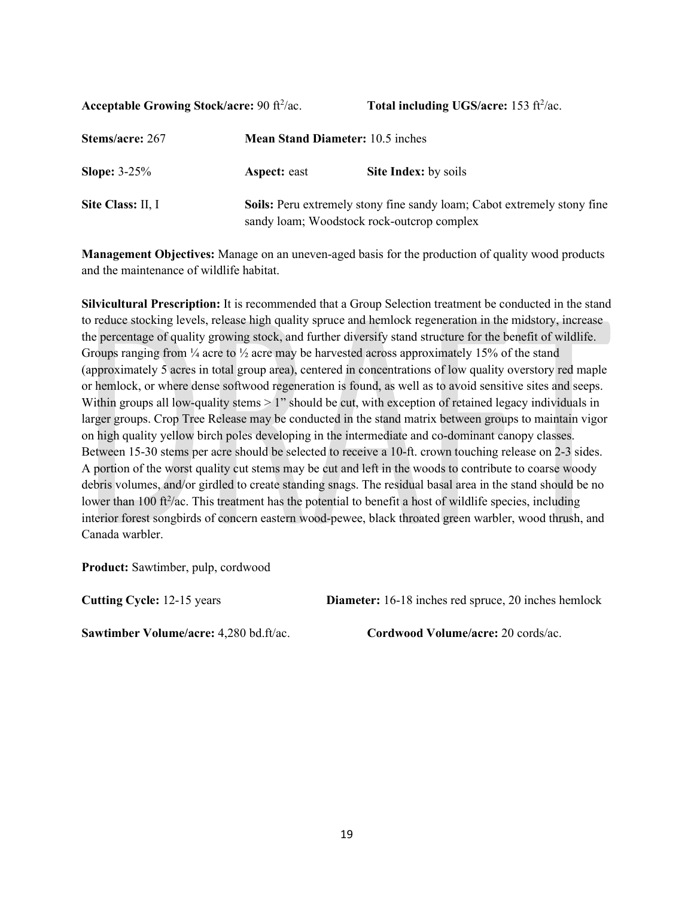**Acceptable Growing Stock/acre: 90 ft<sup>2</sup>/ac.** 

/ac. **Total including UGS/acre:** 153 ft<sup>2</sup>/ac.

| Stems/acre: 267   | <b>Mean Stand Diameter:</b> 10.5 inches    |                                                                                |  |
|-------------------|--------------------------------------------|--------------------------------------------------------------------------------|--|
| Slope: $3-25%$    | <b>Aspect:</b> east                        | <b>Site Index:</b> by soils                                                    |  |
| Site Class: II, I | sandy loam; Woodstock rock-outcrop complex | <b>Soils:</b> Peru extremely stony fine sandy loam; Cabot extremely stony fine |  |

**Management Objectives:** Manage on an uneven-aged basis for the production of quality wood products and the maintenance of wildlife habitat.

**Silvicultural Prescription:** It is recommended that a Group Selection treatment be conducted in the stand to reduce stocking levels, release high quality spruce and hemlock regeneration in the midstory, increase the percentage of quality growing stock, and further diversify stand structure for the benefit of wildlife. Groups ranging from  $\frac{1}{4}$  acre to  $\frac{1}{2}$  acre may be harvested across approximately 15% of the stand (approximately 5 acres in total group area), centered in concentrations of low quality overstory red maple or hemlock, or where dense softwood regeneration is found, as well as to avoid sensitive sites and seeps. Within groups all low-quality stems  $> 1$ " should be cut, with exception of retained legacy individuals in larger groups. Crop Tree Release may be conducted in the stand matrix between groups to maintain vigor on high quality yellow birch poles developing in the intermediate and co-dominant canopy classes. Between 15-30 stems per acre should be selected to receive a 10-ft. crown touching release on 2-3 sides. A portion of the worst quality cut stems may be cut and left in the woods to contribute to coarse woody debris volumes, and/or girdled to create standing snags. The residual basal area in the stand should be no lower than 100 ft<sup>2</sup>/ac. This treatment has the potential to benefit a host of wildlife species, including interior forest songbirds of concern eastern wood-pewee, black throated green warbler, wood thrush, and Canada warbler.

**Product:** Sawtimber, pulp, cordwood

**Cutting Cycle:** 12-15 years **Diameter:** 16-18 inches red spruce, 20 inches hemlock

**Sawtimber Volume/acre:** 4,280 bd.ft/ac. **Cordwood Volume/acre:** 20 cords/ac.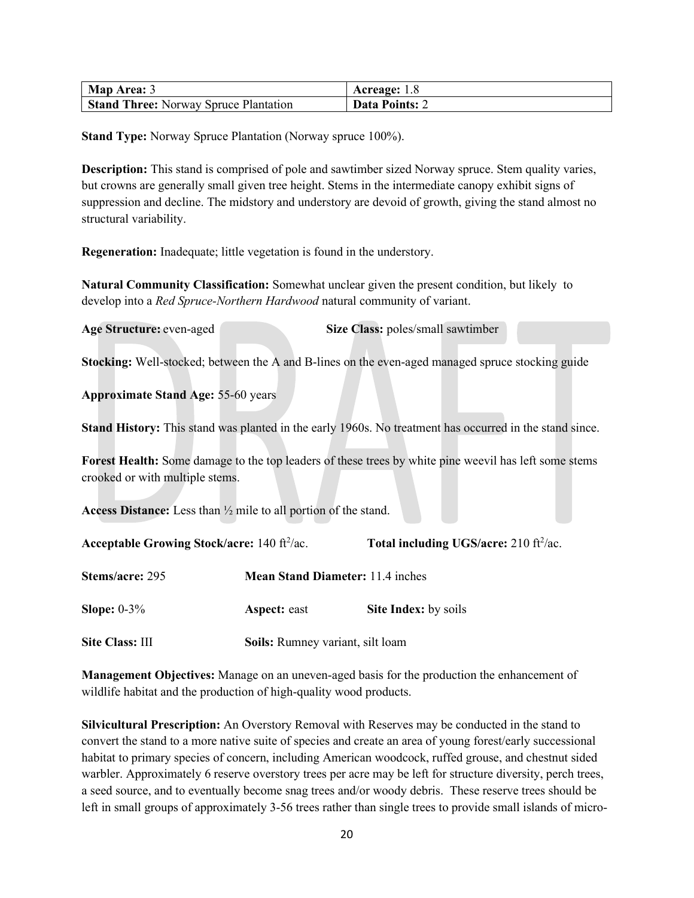| Map Area: 3                                  | Acreage: 1.8                 |
|----------------------------------------------|------------------------------|
| <b>Stand Three: Norway Spruce Plantation</b> | <b>Data Points:</b> $\angle$ |

**Stand Type:** Norway Spruce Plantation (Norway spruce 100%).

**Description:** This stand is comprised of pole and sawtimber sized Norway spruce. Stem quality varies, but crowns are generally small given tree height. Stems in the intermediate canopy exhibit signs of suppression and decline. The midstory and understory are devoid of growth, giving the stand almost no structural variability.

**Regeneration:** Inadequate; little vegetation is found in the understory.

**Natural Community Classification:** Somewhat unclear given the present condition, but likely to develop into a *Red Spruce-Northern Hardwood* natural community of variant.

**Age Structure:** even-aged **Size Class:** poles/small sawtimber

**Stocking:** Well-stocked; between the A and B-lines on the even-aged managed spruce stocking guide

**Approximate Stand Age:** 55-60 years

**Stand History:** This stand was planted in the early 1960s. No treatment has occurred in the stand since.

**Forest Health:** Some damage to the top leaders of these trees by white pine weevil has left some stems crooked or with multiple stems.

**Access Distance:** Less than ½ mile to all portion of the stand.

| Total including UGS/acre: 210 ft <sup>2</sup> /ac. |
|----------------------------------------------------|
|                                                    |

| Stems/acre: 295        | <b>Mean Stand Diameter: 11.4 inches</b> |                             |
|------------------------|-----------------------------------------|-----------------------------|
| Slope: $0-3\%$         | <b>Aspect:</b> east                     | <b>Site Index:</b> by soils |
| <b>Site Class: III</b> | Soils: Rumney variant, silt loam        |                             |

**Management Objectives:** Manage on an uneven-aged basis for the production the enhancement of wildlife habitat and the production of high-quality wood products.

**Silvicultural Prescription:** An Overstory Removal with Reserves may be conducted in the stand to convert the stand to a more native suite of species and create an area of young forest/early successional habitat to primary species of concern, including American woodcock, ruffed grouse, and chestnut sided warbler. Approximately 6 reserve overstory trees per acre may be left for structure diversity, perch trees, a seed source, and to eventually become snag trees and/or woody debris. These reserve trees should be left in small groups of approximately 3-56 trees rather than single trees to provide small islands of micro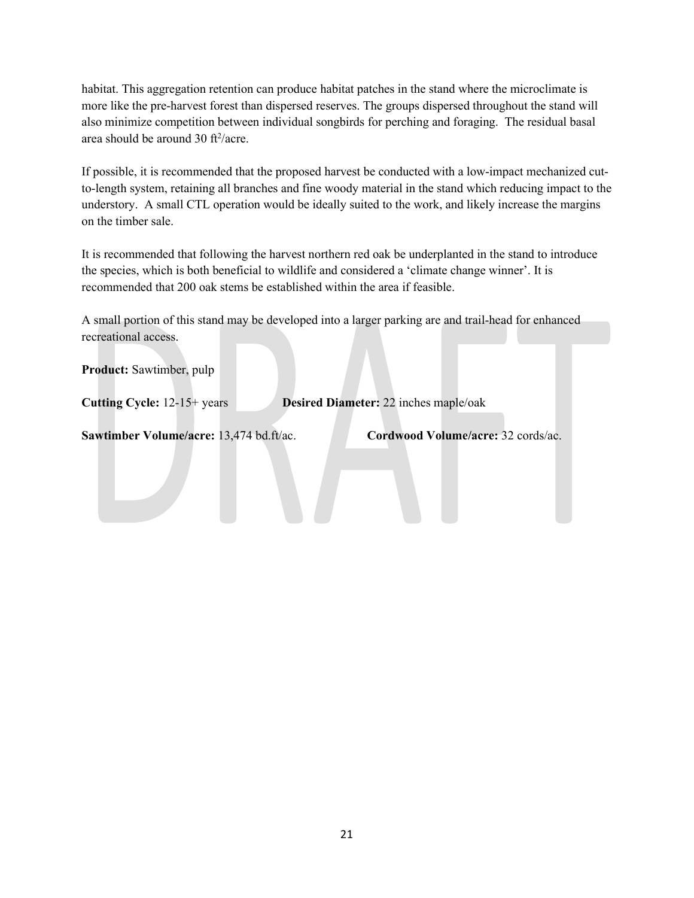habitat. This aggregation retention can produce habitat patches in the stand where the microclimate is more like the pre-harvest forest than dispersed reserves. The groups dispersed throughout the stand will also minimize competition between individual songbirds for perching and foraging. The residual basal area should be around 30  $\text{ft}^2/\text{acre}$ .

If possible, it is recommended that the proposed harvest be conducted with a low-impact mechanized cutto-length system, retaining all branches and fine woody material in the stand which reducing impact to the understory. A small CTL operation would be ideally suited to the work, and likely increase the margins on the timber sale.

It is recommended that following the harvest northern red oak be underplanted in the stand to introduce the species, which is both beneficial to wildlife and considered a 'climate change winner'. It is recommended that 200 oak stems be established within the area if feasible.

A small portion of this stand may be developed into a larger parking are and trail-head for enhanced recreational access.

**Product:** Sawtimber, pulp

**Cutting Cycle:** 12-15+ years **Desired Diameter:** 22 inches maple/oak

**Sawtimber Volume/acre:** 13,474 bd.ft/ac. **Cordwood Volume/acre:** 32 cords/ac.